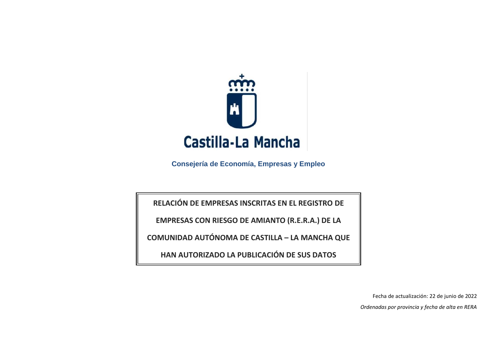

**Consejería de Economía, Empresas y Empleo**

**RELACIÓN DE EMPRESAS INSCRITAS EN EL REGISTRO DE**

**EMPRESAS CON RIESGO DE AMIANTO (R.E.R.A.) DE LA** 

**COMUNIDAD AUTÓNOMA DE CASTILLA – LA MANCHA QUE** 

**HAN AUTORIZADO LA PUBLICACIÓN DE SUS DATOS**

Fecha de actualización: 22 de junio de 2022 *Ordenadas por provincia y fecha de alta en RERA*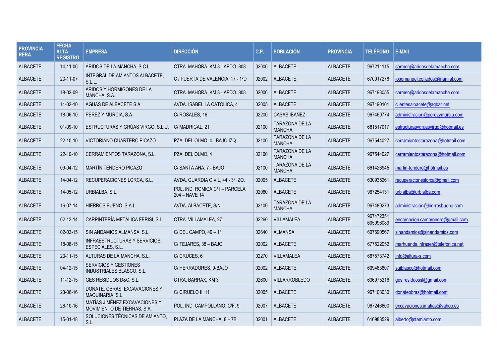| <b>PROVINCIA</b><br><b>RERA</b> | <b>FECHA</b><br><b>ALTA</b><br><b>REGISTRO</b> | <b>EMPRESA</b>                                                   | <b>DIRECCIÓN</b>                                | C.P.  | <b>POBLACIÓN</b>                       | <b>PROVINCIA</b> | <b>TELÉFONO</b>        | <b>E-MAIL</b>                     |
|---------------------------------|------------------------------------------------|------------------------------------------------------------------|-------------------------------------------------|-------|----------------------------------------|------------------|------------------------|-----------------------------------|
| <b>ALBACETE</b>                 | 14-11-06                                       | ÁRIDOS DE LA MANCHA, S.C.L.                                      | CTRA. MAHORA. KM 3 - APDO. 808                  | 02006 | <b>ALBACETE</b>                        | <b>ALBACETE</b>  | 967211115              | carmen@aridosdelamancha.com       |
| <b>ALBACETE</b>                 | 23-11-07                                       | INTEGRAL DE AMIANTOS ALBACETE,<br>S.L.L.                         | C / PUERTA DE VALENCIA, 17 - 1°D                | 02002 | <b>ALBACETE</b>                        | ALBACETE         | 670017278              | josemanuel.collados@inamial.com   |
| <b>ALBACETE</b>                 | 18-02-09                                       | ÁRIDOS Y HORMIGONES DE LA<br>MANCHA, S.A.                        | CTRA. MAHORA, KM 3 - APDO. 808                  | 02006 | <b>ALBACETE</b>                        | <b>ALBACETE</b>  | 967193055              | carmen@aridosdelamancha.com       |
| <b>ALBACETE</b>                 | $11-02-10$                                     | AGUAS DE ALBACETE S.A.                                           | AVDA. ISABEL LA CATOLICA. 4                     | 02005 | <b>ALBACETE</b>                        | <b>ALBACETE</b>  | 967190101              | clientesalbacete@agbar.net        |
| <b>ALBACETE</b>                 | 18-06-10                                       | PÉREZ Y MURCIA, S.A.                                             | C/ ROSALES, 16                                  | 02200 | <b>CASAS IBAÑEZ</b>                    | <b>ALBACETE</b>  | 967460774              | administracion@perezymurcia.com   |
| <b>ALBACETE</b>                 | $01-09-10$                                     | ESTRUCTURAS Y GRÚAS VIRGO, S.L.U                                 | C/MADRIGAL, 21                                  | 02100 | <b>TARAZONA DE LA</b><br><b>MANCHA</b> | <b>ALBACETE</b>  | 661517017              | estructurasygruasvirgo@hotmail.es |
| <b>ALBACETE</b>                 | $22 - 10 - 10$                                 | VICTORIANO CUARTERO PICAZO                                       | PZA. DEL OLMO. 4 - BAJO IZQ.                    | 02100 | TARAZONA DE LA<br><b>MANCHA</b>        | <b>ALBACETE</b>  | 967544027              | cerramientostarazona@hotmail.com  |
| <b>ALBACETE</b>                 | $22 - 10 - 10$                                 | CERRAMIENTOS TARAZONA, S.L.                                      | PZA. DEL OLMO, 4                                | 02100 | TARAZONA DE LA<br><b>MANCHA</b>        | <b>ALBACETE</b>  | 967544027              | cerramientostarazona@hotmail.com  |
| <b>ALBACETE</b>                 | 09-04-12                                       | MARTÍN TENDERO PICAZO                                            | C/ SANTA ANA, 7 - BAJO                          | 02100 | <b>TARAZONA DE LA</b><br><b>MANCHA</b> | <b>ALBACETE</b>  | 661426945              | martin-tendero@hotmail.es         |
| <b>ALBACETE</b>                 | 14-04-12                                       | RECUPERACIONES LORCA, S.L.                                       | AVDA. GUARDIA CIVIL. 44 - 3º IZQ.               | 02005 | <b>ALBACETE</b>                        | <b>ALBACETE</b>  | 630935261              | recuperacioneslorca@gmail.com     |
| <b>ALBACETE</b>                 | 14-05-12                                       | URBIALBA, S.L.                                                   | POL. IND. ROMICA C/1 - PARCELA<br>204 - NAVE 14 | 02080 | <b>ALBACETE</b>                        | <b>ALBACETE</b>  | 967254131              | urbialba@urbialba.com             |
| <b>ALBACETE</b>                 | 16-07-14                                       | HIERROS BUENO, S.A.L.                                            | AVDA. ALBACETE, S/N                             | 02100 | <b>TARAZONA DE LA</b><br><b>MANCHA</b> | <b>ALBACETE</b>  | 967480273              | administración@hierrosbueno.com   |
| <b>ALBACETE</b>                 | $02 - 12 - 14$                                 | CARPINTERÍA METÁLICA FERISI, S.L.                                | CTRA. VILLAMALEA, 27                            | 02260 | VILLAMALEA                             | <b>ALBACETE</b>  | 967472351<br>605096089 | encarnacion.cambronero@gmail.com  |
| <b>ALBACETE</b>                 | 02-03-15                                       | SIN ANDAMIOS ALMANSA, S.L.                                       | C/ DEL CAMPO, $49 - 1^\circ$                    | 02640 | <b>ALMANSA</b>                         | <b>ALBACETE</b>  | 607690567              | sinandamios@sinandamios.com       |
| <b>ALBACETE</b>                 | 18-08-15                                       | INFRAESTRUCTURAS Y SERVICIOS<br>ESPECIALES, S.L.                 | C/TEJARES, 38 - BAJO                            | 02002 | <b>ALBACETE</b>                        | <b>ALBACETE</b>  | 677522052              | marhuenda.infraser@telefonica.net |
| <b>ALBACETE</b>                 | $23 - 11 - 15$                                 | ALTURAS DE LA MANCHA, S.L.                                       | C/CRUCES, 6                                     | 02270 | <b>VILLAMALEA</b>                      | <b>ALBACETE</b>  | 667573742              | info@altura-s.com                 |
| <b>ALBACETE</b>                 | 04-12-15                                       | <b>SERVICIOS Y GESTIONES</b><br><b>INDUSTRIALES BLASCO, S.L.</b> | C/ HERRADORES, 9-BAJO                           | 02002 | <b>ALBACETE</b>                        | <b>ALBACETE</b>  | 609463607              | sgiblasco@hotmail.com             |
| <b>ALBACETE</b>                 | $11 - 12 - 15$                                 | GES RESIDUOS D&C, S.L.                                           | CTRA. BARRAX, KM 3                              | 02600 | VILLARROBLEDO                          | <b>ALBACETE</b>  | 636975216              | ges.residuossl@gmail.com          |
| <b>ALBACETE</b>                 | 23-06-16                                       | DONATE, OBRAS, EXCAVACIONES Y<br>MAQUINARIA, S.L.                | C/ CIRUELO II, 11                               | 02005 | <b>ALBACETE</b>                        | ALBACETE         | 967103030              | donateobras@hotmail.com           |
| <b>ALBACETE</b>                 | 26-10-16                                       | MATÍAS JIMÉNEZ EXCAVACIONES Y<br>MOVIMIENTO DE TIERRAS, S.A.     | POL. IND. CAMPOLLANO, C/F, 9                    | 02007 | <b>ALBACETE</b>                        | <b>ALBACETE</b>  | 967246600              | excavaciones.jmatias@yahoo.es     |
| <b>ALBACETE</b>                 | 15-01-18                                       | SOLUCIONES TÉCNICAS DE AMIANTO.<br>S.L.                          | PLAZA DE LA MANCHA, 8 - 7B                      | 02001 | <b>ALBACETE</b>                        | <b>ALBACETE</b>  | 616988529              | alberto@stamianto.com             |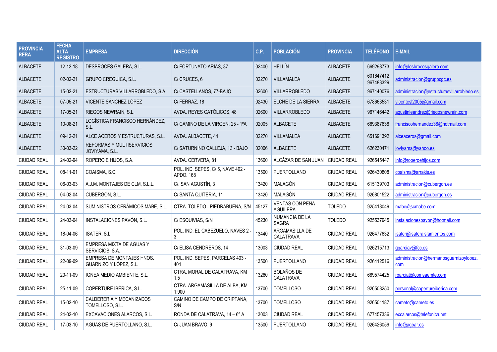| <b>PROVINCIA</b><br><b>RERA</b> | <b>FECHA</b><br><b>ALTA</b><br><b>REGISTRO</b> | <b>EMPRESA</b>                                      | <b>DIRECCIÓN</b>                              | C.P.  | <b>POBLACIÓN</b>                      | <b>PROVINCIA</b>   | <b>TELÉFONO</b>        | <b>E-MAIL</b>                                 |
|---------------------------------|------------------------------------------------|-----------------------------------------------------|-----------------------------------------------|-------|---------------------------------------|--------------------|------------------------|-----------------------------------------------|
| <b>ALBACETE</b>                 | 12-12-18                                       | DESBROCES GALERA, S.L.                              | C/ FORTUNATO ARIAS, 37                        | 02400 | <b>HELLÍN</b>                         | <b>ALBACETE</b>    | 669298773              | info@desbrocesgalera.com                      |
| <b>ALBACETE</b>                 | $02 - 02 - 21$                                 | <b>GRUPO CREGUICA, S.L.</b>                         | C/CRUCES, 6                                   | 02270 | VILLAMALEA                            | <b>ALBACETE</b>    | 601647412<br>967483329 | administracion@grupocgc.es                    |
| <b>ALBACETE</b>                 | 15-02-21                                       | ESTRUCTURAS VILLARROBLEDO, S.A.                     | C/ CASTELLANOS, 77-BAJO                       | 02600 | <b>VILLARROBLEDO</b>                  | <b>ALBACETE</b>    | 967140076              | administracion@estructurasvillarrobledo.es    |
| <b>ALBACETE</b>                 | 07-05-21                                       | VICENTE SÁNCHEZ LÓPEZ                               | C/FERRAZ, 18                                  | 02430 | ELCHE DE LA SIERRA                    | <b>ALBACETE</b>    | 678663531              | vicentesI2005@gmail.com                       |
| <b>ALBACETE</b>                 | 17-05-21                                       | RIEGOS NEWRAIN, S.L.                                | AVDA. REYES CATÓLICOS, 48                     | 02600 | VILLARROBLEDO                         | <b>ALBACETE</b>    | 967146442              | agustinleandrez@riegosnewrain.com             |
| <b>ALBACETE</b>                 | 10-08-21                                       | LOGÍSTICA FRANCISCO HERNÁNDEZ,<br>S.L.              | C/ CAMINO DE LA VIRGEN, 25 - 1ºA              | 02005 | <b>ALBACETE</b>                       | <b>ALBACETE</b>    | 669387638              | franciscohernandez38@hotmail.com              |
| <b>ALBACETE</b>                 | 09-12-21                                       | ALCE ACEROS Y ESTRUCTURAS, S.L.                     | AVDA. ALBACETE, 44                            | 02270 | <b>VILLAMALEA</b>                     | <b>ALBACETE</b>    | 651691392              | alceaceros@gmail.com                          |
| <b>ALBACETE</b>                 | 30-03-22                                       | REFORMAS Y MULTISERVICIOS<br>JOVIYAMA, S.L.         | C/ SATURNINO CALLEJA, 13 - BAJO               | 02006 | <b>ALBACETE</b>                       | <b>ALBACETE</b>    | 626230471              | joviyama@yahoo.es                             |
| <b>CIUDAD REAL</b>              | 24-02-94                                       | ROPERO E HIJOS, S.A.                                | AVDA. CERVERA, 81                             | 13600 | ALCÁZAR DE SAN JUAN                   | <b>CIUDAD REAL</b> | 926545447              | info@roperoehijos.com                         |
| <b>CIUDAD REAL</b>              | 08-11-01                                       | COAISMA, S.C.                                       | POL. IND. SEPES, C/5, NAVE 402 -<br>APDO, 168 | 13500 | <b>PUERTOLLANO</b>                    | <b>CIUDAD REAL</b> | 926430808              | coaisma@arrakis.es                            |
| <b>CIUDAD REAL</b>              | 06-03-03                                       | A.J.M. MONTAJES DE CLM. S.L.L.                      | C/. SAN AGUSTÍN, 3                            | 13420 | MALAGÓN                               | <b>CIUDAD REAL</b> | 615139703              | administracion@cubergon.es                    |
| <b>CIUDAD REAL</b>              | 04-02-04                                       | CUBERGÓN, S.L.                                      | C/ SANTA QUITERIA, 11                         | 13420 | MALAGÓN                               | <b>CIUDAD REAL</b> | 926801522              | administracion@cubergon.es                    |
| <b>CIUDAD REAL</b>              | 24-03-04                                       | SUMINISTROS CERÁMICOS MABE, S.L.                    | CTRA. TOLEDO - PIEDRABUENA, S/N               | 45127 | VENTAS CON PEÑA<br><b>AGUILERA</b>    | <b>TOLEDO</b>      | 925418049              | mabe@scmabe.com                               |
| <b>CIUDAD REAL</b>              | 24-03-04                                       | INSTALACIONES PAVÓN, S.L.                           | C/ESQUIVIAS, S/N                              | 45230 | <b>NUMANCIA DE LA</b><br><b>SAGRA</b> | <b>TOLEDO</b>      | 925537945              | instalacionespavon@hotmail.com                |
| <b>CIUDAD REAL</b>              | 18-04-06                                       | ISATER, S.L.                                        | POL. IND. EL CABEZUELO, NAVES 2 -<br>3        | 13440 | ARGAMASILLA DE<br>CALATRAVA           | <b>CIUDAD REAL</b> | 926477632              | isater@isateraislamientos.com                 |
| <b>CIUDAD REAL</b>              | 31-03-09                                       | EMPRESA MIXTA DE AGUAS Y<br>SERVICIOS, S.A.         | C/ELISA CENDREROS, 14                         | 13003 | <b>CIUDAD REAL</b>                    | <b>CIUDAD REAL</b> | 926215713              | ggarciav@fcc.es                               |
| <b>CIUDAD REAL</b>              | 22-09-09                                       | EMPRESA DE MONTAJES HNOS.<br>GUARNIZO Y LÓPEZ, S.L. | POL. IND. SEPES, PARCELAS 403 -<br>404        | 13500 | PUERTOLLANO                           | <b>CIUDAD REAL</b> | 926412516              | administracion@hermanosquarnizoylopez.<br>com |
| <b>CIUDAD REAL</b>              | 20-11-09                                       | IGNEA MEDIO AMBIENTE, S.L.                          | CTRA. MORAL DE CALATRAVA, KM<br>1.5           | 13260 | <b>BOLAÑOS DE</b><br>CALATRAVA        | <b>CIUDAD REAL</b> | 689574425              | rgarciat@comsaemte.com                        |
| <b>CIUDAD REAL</b>              | 25-11-09                                       | COPERTURE IBÉRICA, S.L.                             | CTRA. ARGAMASILLA DE ALBA, KM<br>1,900        | 13700 | <b>TOMELLOSO</b>                      | <b>CIUDAD REAL</b> | 926508250              | personal@copertureiberica.com                 |
| <b>CIUDAD REAL</b>              | 15-02-10                                       | CALDERERÍA Y MECANIZADOS<br>TOMELLOSO, S.L.         | CAMINO DE CAMPO DE CRIPTANA.<br>S/N           | 13700 | <b>TOMELLOSO</b>                      | <b>CIUDAD REAL</b> | 926501187              | cameto@cameto.es                              |
| <b>CIUDAD REAL</b>              | 24-02-10                                       | EXCAVACIONES ALARCOS, S.L.                          | RONDA DE CALATRAVA, 14 - 6º A                 | 13003 | <b>CIUDAD REAL</b>                    | <b>CIUDAD REAL</b> | 677457336              | excalarcos@telefonica.net                     |
| <b>CIUDAD REAL</b>              | 17-03-10                                       | AGUAS DE PUERTOLLANO, S.L.                          | C/ JUAN BRAVO, 9                              | 13500 | PUERTOLLANO                           | <b>CIUDAD REAL</b> | 926426059              | info@agbar.es                                 |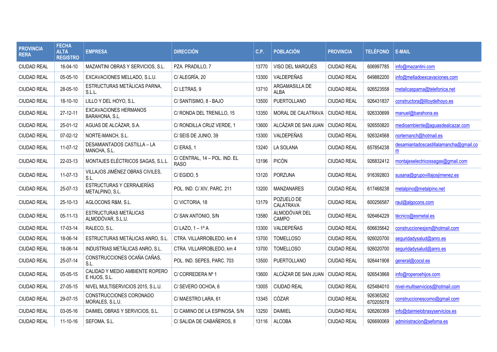| <b>PROVINCIA</b><br><b>RERA</b> | <b>FECHA</b><br><b>ALTA</b><br><b>REGISTRO</b> | <b>EMPRESA</b>                                        | <b>DIRECCIÓN</b>                             | C.P.  | <b>POBLACIÓN</b>              | <b>PROVINCIA</b>   | <b>TELÉFONO</b>        | E-MAIL                                      |
|---------------------------------|------------------------------------------------|-------------------------------------------------------|----------------------------------------------|-------|-------------------------------|--------------------|------------------------|---------------------------------------------|
| <b>CIUDAD REAL</b>              | 16-04-10                                       | MAZANTINI OBRAS Y SERVICIOS, S.L.                     | PZA. PRADILLO. 7                             | 13770 | VISO DEL MARQUÉS              | <b>CIUDAD REAL</b> | 606997785              | info@mazantini.com                          |
| <b>CIUDAD REAL</b>              | 05-05-10                                       | EXCAVACIONES MELLADO, S.L.U.                          | C/ ALEGRÍA, 20                               | 13300 | VALDEPEÑAS                    | <b>CIUDAD REAL</b> | 649882200              | info@melladoexcavaciones.com                |
| <b>CIUDAD REAL</b>              | 28-05-10                                       | ESTRUCTURAS METÁLICAS PARNA,<br>S.L.L.                | C/LETRAS. 9                                  | 13710 | ARGAMASILLA DE<br><b>ALBA</b> | <b>CIUDAD REAL</b> | 926523558              | metalicasparna@telefonica.net               |
| <b>CIUDAD REAL</b>              | 18-10-10                                       | LILLO Y DEL HOYO, S.L.                                | C/ SANTISIMO, 8 - BAJO                       | 13500 | PUERTOLLANO                   | <b>CIUDAD REAL</b> | 926431837              | constructora@lilloydelhoyo.es               |
| <b>CIUDAD REAL</b>              | 27-12-11                                       | <b>EXCAVACIONES HERMANOS</b><br><b>BARAHONA, S.L.</b> | C/ RONDA DEL TRENILLO, 15                    | 13350 | MORAL DE CALATRAVA            | <b>CIUDAD REAL</b> | 926330699              | manuel@barahona.es                          |
| <b>CIUDAD REAL</b>              | 25-01-12                                       | AGUAS DE ALCÁZAR, S.A.                                | C/ RONDILLA CRUZ VERDE, 1                    | 13600 | ALCÁZAR DE SAN JUAN           | <b>CIUDAD REAL</b> | 926550820              | medioambiente@aguasdealcazar.com            |
| <b>CIUDAD REAL</b>              | 07-02-12                                       | NORTE-MANCH, S.L.                                     | C/ SEIS DE JUNIO, 39                         | 13300 | VALDEPEÑAS                    | <b>CIUDAD REAL</b> | 926324568              | nortemanch@hotmail.es                       |
| <b>CIUDAD REAL</b>              | 11-07-12                                       | DESAMIANTADOS CASTILLA - LA<br>MANCHA, S.L.           | C/ERAS, 1                                    | 13240 | LA SOLANA                     | <b>CIUDAD REAL</b> | 657854238              | desamiantadoscastillalamancha@gmail.co<br>m |
| <b>CIUDAD REAL</b>              | 22-03-13                                       | MONTAJES ELÉCTRICOS SAGAS, S.L.L.                     | C/ CENTRAL, 14 - POL. IND. EL<br><b>RASO</b> | 13196 | PICÓN                         | <b>CIUDAD REAL</b> | 926832412              | montajeselectricossagas@gmail.com           |
| <b>CIUDAD REAL</b>              | 11-07-13                                       | VILLAJOS JIMÉNEZ OBRAS CIVILES,<br>S.L.               | C/EGIDO.5                                    | 13120 | <b>PORZUNA</b>                | <b>CIUDAD REAL</b> | 916392803              | susana@grupovillajosjimenez.es              |
| <b>CIUDAD REAL</b>              | 25-07-13                                       | ESTRUCTURAS Y CERRAJERÍAS<br>METALPINO, S.L.          | POL. IND. C/XIV. PARC. 211                   | 13200 | <b>MANZANARES</b>             | CIUDAD REAL        | 617468238              | metalpino@metalpino.net                     |
| <b>CIUDAD REAL</b>              | 25-10-13                                       | AGLOCONS R&M, S.L.                                    | C/VICTORIA, 18                               | 13179 | POZUELO DE<br>CALATRAVA       | <b>CIUDAD REAL</b> | 600256587              | raul@algocons.com                           |
| <b>CIUDAD REAL</b>              | $05 - 11 - 13$                                 | ESTRUCTURAS METÁLICAS<br>ALMODÓVAR, S.L.U.            | C/ SAN ANTONIO, S/N                          | 13580 | ALMODÓVAR DEL<br>CAMPO        | <b>CIUDAD REAL</b> | 926464229              | técnico@esmetal.es                          |
| <b>CIUDAD REAL</b>              | 17-03-14                                       | RALECO, S.L.                                          | $C/$ LAZO. $1 - 1^{\circ}$ A                 | 13300 | VALDEPEÑAS                    | <b>CIUDAD REAL</b> | 606635642              | construccionesjsm@hotmail.com               |
| <b>CIUDAD REAL</b>              | 18-06-14                                       | ESTRUCTURAS METÁLICAS ANRO, S.L.                      | CTRA. VILLARROBLEDO. km 4                    | 13700 | <b>TOMELLOSO</b>              | <b>CIUDAD REAL</b> | 926020700              | seguridadysalud@anro.es                     |
| <b>CIUDAD REAL</b>              | 18-06-14                                       | INDUSTRIAS METÁLICAS ANRO, S.L.                       | CTRA. VILLARROBLEDO, km 4                    | 13700 | <b>TOMELLOSO</b>              | <b>CIUDAD REAL</b> | 926020700              | seguridadysalud@anro.es                     |
| <b>CIUDAD REAL</b>              | 25-07-14                                       | CONSTRUCCIONES OCAÑA CAÑAS,<br>S.L.                   | POL. IND. SEPES, PARC. 703                   | 13500 | PUERTOLLANO                   | <b>CIUDAD REAL</b> | 926441908              | general@cocsl.es                            |
| <b>CIUDAD REAL</b>              | 05-05-15                                       | CALIDAD Y MEDIO AMBIENTE ROPERO<br>E HIJOS, S.L.      | C/CORREDERA Nº 1                             | 13600 | ALCÁZAR DE SAN JUAN           | <b>CIUDAD REAL</b> | 926543868              | info@roperoehijos.com                       |
| <b>CIUDAD REAL</b>              | 27-05-15                                       | NIVEL MULTISERVICIOS 2015, S.L.U.                     | C/ SEVERO OCHOA, 6                           | 13005 | <b>CIUDAD REAL</b>            | <b>CIUDAD REAL</b> | 625484010              | nivel-multiservicios@hotmail.com            |
| <b>CIUDAD REAL</b>              | 29-07-15                                       | CONSTRUCCIONES CORONADO<br>MORALES, S.L.U.            | C/MAESTRO LARA, 61                           | 13345 | CÓZAR                         | <b>CIUDAD REAL</b> | 926365262<br>670205078 | construccionescomo@gmail.com                |
| <b>CIUDAD REAL</b>              | 03-05-16                                       | DAIMIEL OBRAS Y SERVICIOS, S.L.                       | C/ CAMINO DE LA ESPINOSA. S/N                | 13250 | <b>DAIMIEL</b>                | <b>CIUDAD REAL</b> | 926260369              | info@daimielobrasyservicios.es              |
| <b>CIUDAD REAL</b>              | 11-10-16                                       | SEFOMA, S.L.                                          | C/ SALIDA DE CABAÑEROS, 8                    | 13116 | <b>ALCOBA</b>                 | <b>CIUDAD REAL</b> | 926690069              | administracion@sefoma.es                    |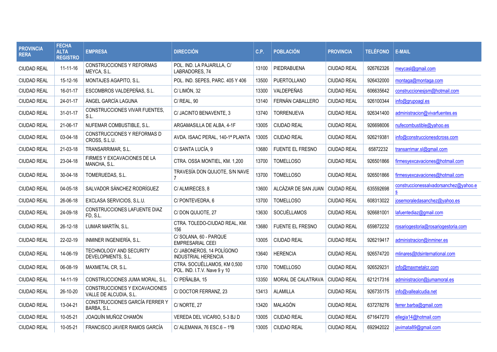| <b>PROVINCIA</b><br><b>RERA</b> | <b>FECHA</b><br><b>ALTA</b><br><b>REGISTRO</b> | <b>EMPRESA</b>                                          | <b>DIRECCIÓN</b>                                            | C.P.  | <b>POBLACIÓN</b>                  | <b>PROVINCIA</b>   | <b>TELÉFONO</b> | <b>E-MAIL</b>                               |
|---------------------------------|------------------------------------------------|---------------------------------------------------------|-------------------------------------------------------------|-------|-----------------------------------|--------------------|-----------------|---------------------------------------------|
| <b>CIUDAD REAL</b>              | 11-11-16                                       | CONSTRUCCIONES Y REFORMAS<br>MEYCA, S.L.                | POL. IND. LA PAJARILLA, C/<br>LABRADORES, 74                | 13100 | PIEDRABUENA                       | <b>CIUDAD REAL</b> | 926762326       | meycasl@gmail.com                           |
| <b>CIUDAD REAL</b>              | 15-12-16                                       | MONTAJES AGAPITO, S.L.                                  | POL. IND. SEPES. PARC. 405 Y 406                            | 13500 | PUERTOLLANO                       | <b>CIUDAD REAL</b> | 926432000       | montaga@montaga.com                         |
| <b>CIUDAD REAL</b>              | 16-01-17                                       | ESCOMBROS VALDEPEÑAS. S.L.                              | C/LIMÓN, 32                                                 | 13300 | VALDEPEÑAS                        | <b>CIUDAD REAL</b> | 606635642       | construccionesism@hotmail.com               |
| <b>CIUDAD REAL</b>              | 24-01-17                                       | ÁNGEL GARCÍA LAGUNA                                     | C/ REAL, 90                                                 | 13140 | FERNÁN CABALLERO                  | <b>CIUDAD REAL</b> | 926100344       | info@grupoagl.es                            |
| <b>CIUDAD REAL</b>              | 31-01-17                                       | CONSTRUCCIONES VIVAR FUENTES.<br>S.L.                   | C/ JACINTO BENAVENTE, 3                                     | 13740 | <b>TORRENUEVA</b>                 | <b>CIUDAD REAL</b> | 926341400       | administracion@vivarfuentes.es              |
| <b>CIUDAD REAL</b>              | 21-06-17                                       | NUFEMAR COMBUSTIBLE, S.L.                               | ARGAMASILLA DE ALBA, 4-1F                                   | 13005 | <b>CIUDAD REAL</b>                | <b>CIUDAD REAL</b> | 926698006       | nufecombustible@yahoo.es                    |
| <b>CIUDAD REAL</b>              | 03-04-18                                       | CONSTRUCCIONES Y REFORMAS D<br>CROSS, S.L.U.            | AVDA. ISAAC PERAL, 140-1ª PLANTA                            | 13005 | <b>CIUDAD REAL</b>                | <b>CIUDAD REAL</b> | 926219381       | info@construccionesdcross.com               |
| <b>CIUDAD REAL</b>              | 21-03-18                                       | TRANSARRIMAR, S.L.                                      | C/ SANTA LUCÍA, 9                                           | 13680 | <b>FUENTE EL FRESNO</b>           | <b>CIUDAD REAL</b> | 65872232        | transarrimar.sl@gmail.com                   |
| <b>CIUDAD REAL</b>              | 23-04-18                                       | FIRMES Y EXCAVACIONES DE LA<br>MANCHA, S.L.             | CTRA, OSSA MONTIEL, KM, 1.200                               | 13700 | <b>TOMELLOSO</b>                  | <b>CIUDAD REAL</b> | 926501866       | firmesyexcavaciones@hotmail.com             |
| <b>CIUDAD REAL</b>              | 30-04-18                                       | TOMERUEDAS, S.L.                                        | TRAVESÍA DON QUIJOTE. S/N NAVE<br>$\overline{7}$            | 13700 | <b>TOMELLOSO</b>                  | <b>CIUDAD REAL</b> | 926501866       | firmesyexcavaciones@hotmail.com             |
| <b>CIUDAD REAL</b>              | 04-05-18                                       | SALVADOR SÁNCHEZ RODRÍGUEZ                              | C/ALMIRECES, 8                                              | 13600 | ALCÁZAR DE SAN JUAN   CIUDAD REAL |                    | 635592698       | construccionessalvadorsanchez@yahoo.e<br>Š. |
| <b>CIUDAD REAL</b>              | 26-06-18                                       | EXCLASA SERVICIOS, S.L.U.                               | C/PONTEVEDRA, 6                                             | 13700 | <b>TOMELLOSO</b>                  | <b>CIUDAD REAL</b> | 608313022       | josemoraledasanchez@yahoo.es                |
| <b>CIUDAD REAL</b>              | 24-09-18                                       | CONSTRUCCIONES LAFUENTE DIAZ<br>FD, S.L.                | C/DON QUIJOTE, 27                                           | 13630 | SOCUÉLLAMOS                       | <b>CIUDAD REAL</b> | 926681001       | lafuentediaz@gmail.com                      |
| <b>CIUDAD REAL</b>              | 26-12-18                                       | LUMAR MARTÍN, S.L.                                      | CTRA. TOLEDO-CIUDAD REAL, KM.<br>156                        | 13680 | <b>FUENTE EL FRESNO</b>           | <b>CIUDAD REAL</b> | 659872232       | rosariogestoria@rosariogestoria.com         |
| <b>CIUDAD REAL</b>              | 22-02-19                                       | INMINER INGENIERÍA, S.L.                                | C/ SOLANA, 60 - PARQUE<br>EMPRESARIAL CEEI                  | 13005 | <b>CIUDAD REAL</b>                | <b>CIUDAD REAL</b> | 926219417       | administracion@inminer.es                   |
| <b>CIUDAD REAL</b>              | 14-06-19                                       | <b>TECHNOLOGY AND SECURITY</b><br>DEVELOPMENTS, S.L.    | C/ JABONEROS, 14 POLÍGONO<br><b>INDUSTRIAL HERENCIA</b>     | 13640 | <b>HERENCIA</b>                   | <b>CIUDAD REAL</b> | 926574720       | mlinares@tdsinternational.com               |
| <b>CIUDAD REAL</b>              | 06-08-19                                       | MAXMETAL CR, S.L.                                       | CTRA. SOCUÉLLAMOS, KM 0,500<br>POL. IND. I.T.V. Nave 9 y 10 | 13700 | <b>TOMELLOSO</b>                  | <b>CIUDAD REAL</b> | 926529231       | info@maxmetalcr.com                         |
| <b>CIUDAD REAL</b>              | 14-11-19                                       | CONSTRUCCIONES JUMA MORAL, S.L.                         | C/ PEÑALBA, 15                                              | 13350 | MORAL DE CALATRAVA                | <b>CIUDAD REAL</b> | 621217316       | administracion@jumamoral.es                 |
| <b>CIUDAD REAL</b>              | 26-10-20                                       | CONSTRUCCIONES Y EXCAVACIONES<br>VALLE DE ALCUDIA, S.L. | C/DOCTOR FERRANZ, 23                                        | 13413 | <b>ALAMILLA</b>                   | <b>CIUDAD REAL</b> | 926735175       | info@vallealcudia.net                       |
| <b>CIUDAD REAL</b>              | 13-04-21                                       | CONSTRUCCIONES GARCÍA FERRER Y<br>BARBA, S.L.           | C/NORTE, 27                                                 | 13420 | MALAGÓN                           | <b>CIUDAD REAL</b> | 637278276       | ferrer.barba@gmail.com                      |
| <b>CIUDAD REAL</b>              | 10-05-21                                       | JOAQUÍN MUÑOZ CHAMÓN                                    | VEREDA DEL VICARIO, 5-3 BJ D                                | 13005 | <b>CIUDAD REAL</b>                | <b>CIUDAD REAL</b> | 671647270       | ellegia14@hotmail.com                       |
| <b>CIUDAD REAL</b>              | 10-05-21                                       | FRANCISCO JAVIER RAMOS GARCÍA                           | C/ALEMANIA, $76$ ESC. $6 - 1$ <sup>o</sup> B                | 13005 | <b>CIUDAD REAL</b>                | <b>CIUDAD REAL</b> | 692942022       | javimata89@gmail.com                        |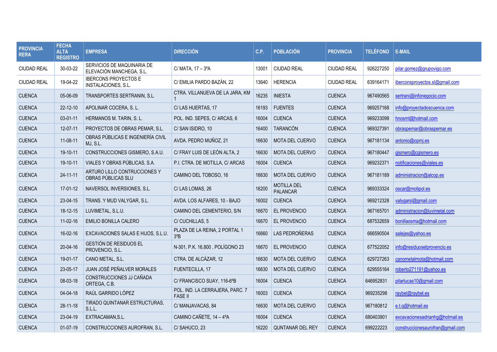| <b>PROVINCIA</b><br><b>RERA</b> | <b>FECHA</b><br><b>ALTA</b><br><b>REGISTRO</b> | <b>EMPRESA</b>                                         | <b>DIRECCIÓN</b>                                  | C.P.  | <b>POBLACIÓN</b>                      | <b>PROVINCIA</b>   | <b>TELÉFONO</b> | <b>E-MAIL</b>                    |
|---------------------------------|------------------------------------------------|--------------------------------------------------------|---------------------------------------------------|-------|---------------------------------------|--------------------|-----------------|----------------------------------|
| <b>CIUDAD REAL</b>              | 30-03-22                                       | SERVICIOS DE MAQUINARIA DE<br>ELEVACIÓN MANCHEGA, S.L. | C/ MATA, 17 - 3°A                                 | 13001 | <b>CIUDAD REAL</b>                    | <b>CIUDAD REAL</b> | 926227250       | pilar.gomez@grupovigo.com        |
| <b>CIUDAD REAL</b>              | 19-04-22                                       | <b>IBERCONS PROYECTOS E</b><br>INSTALACIONES, S.L.     | C/ EMILIA PARDO BAZÁN. 22                         | 13640 | <b>HERENCIA</b>                       | <b>CIUDAD REAL</b> | 639164171       | iberconsproyectos.sl@gmail.com   |
| <b>CUENCA</b>                   | 05-06-09                                       | TRANSPORTES SERTRANIN, S.L.                            | CTRA. VILLANUEVA DE LA JARA, KM                   | 16235 | <b>INIESTA</b>                        | <b>CUENCA</b>      | 967490565       | sertrani@infonegocio.com         |
| <b>CUENCA</b>                   | 22-12-10                                       | APOLINAR COCERA, S. L.                                 | C/LAS HUERTAS, 17                                 | 16193 | <b>FUENTES</b>                        | <b>CUENCA</b>      | 969257168       | info@proyectadoscuenca.com       |
| <b>CUENCA</b>                   | 03-01-11                                       | HERMANOS M. TARIN, S. L.                               | POL. IND. SEPES, C/ ARCAS, 6                      | 16004 | <b>CUENCA</b>                         | <b>CUENCA</b>      | 969233098       | hnosmt@hotmail.com               |
| <b>CUENCA</b>                   | 12-07-11                                       | PROYECTOS DE OBRAS PEMAR, S.L.                         | C/SAN ISIDRO, 10                                  | 16400 | <b>TARANCÓN</b>                       | <b>CUENCA</b>      | 969327391       | obraspemar@obraspemar.es         |
| <b>CUENCA</b>                   | 11-08-11                                       | OBRAS PÚBLICAS E INGENIERÍA CIVIL<br>MJ, S.L.          | AVDA. PEDRO MUÑOZ, 21                             | 16630 | <b>MOTA DEL CUERVO</b>                | <b>CUENCA</b>      | 967181134       | antonio@opmj.es                  |
| <b>CUENCA</b>                   | 19-10-11                                       | CONSTRUCCIONES GISMERO, S.A.U.                         | C/ FRAY LUIS DE LEÓN ALTA, 2                      | 16630 | <b>MOTA DEL CUERVO</b>                | <b>CUENCA</b>      | 967180447       | gismero@cgismero.es              |
| <b>CUENCA</b>                   | 19-10-11                                       | VIALES Y OBRAS PÚBLICAS, S.A.                          | P.I. CTRA. DE MOTILLA, C/ ARCAS                   | 16004 | <b>CUENCA</b>                         | <b>CUENCA</b>      | 969232371       | notificaciones@viales.es         |
| <b>CUENCA</b>                   | 24-11-11                                       | ARTURO LILLO CONTRUCCIONES Y<br>OBRAS PÚBLICAS SLU     | CAMINO DEL TOBOSO, 16                             | 16630 | <b>MOTA DEL CUERVO</b>                | <b>CUENCA</b>      | 967181189       | administracion@alcop.es          |
| <b>CUENCA</b>                   | 17-01-12                                       | NAVERSOL INVERSIONES, S.L.                             | C/LAS LOMAS, 26                                   | 16200 | <b>MOTILLA DEL</b><br><b>PALANCAR</b> | <b>CUENCA</b>      | 969333324       | oscar@motipol.es                 |
| <b>CUENCA</b>                   | 23-04-15                                       | TRANS. Y MUD VALYGAR, S.L.                             | AVDA. LOS ALFARES, 10 - BAJO                      | 16002 | <b>CUENCA</b>                         | <b>CUENCA</b>      | 969212328       | valygarsl@gmail.com              |
| <b>CUENCA</b>                   | 18-12-15                                       | LUVIMETAL, S.L.U.                                      | CAMINO DEL CEMENTERIO, S/N                        | 16670 | EL PROVENCIO                          | <b>CUENCA</b>      | 967165701       | administracion@luvimetal.com     |
| <b>CUENCA</b>                   | $11-02-16$                                     | EMILIO BONILLA CALERO                                  | C/CUCHILLAS, 5                                    | 16670 | EL PROVENCIO                          | <b>CUENCA</b>      | 687532659       | bonillaosma@hotmail.com          |
| <b>CUENCA</b>                   | 16-02-16                                       | EXCAVACIONES SALAS E HIJOS, S.L.U.                     | PLAZA DE LA REINA, 2 PORTAL 1<br>$3^{\circ}B$     | 16660 | LAS PEDROÑERAS                        | <b>CUENCA</b>      | 666590504       | salejas@yahoo.es                 |
| <b>CUENCA</b>                   | 20-04-16                                       | <b>GESTIÓN DE RESIDUOS EL</b><br>PROVENCIO, S.L.       | N-301, P.K. 16,800, POLÍGONO 23                   | 16670 | EL PROVENCIO                          | <b>CUENCA</b>      | 677522052       | info@residuoselprovencio.es      |
| <b>CUENCA</b>                   | 19-01-17                                       | CANO METAL, S.L.                                       | CTRA. DE ALCÁZAR, 12                              | 16630 | <b>MOTA DEL CUERVO</b>                | <b>CUENCA</b>      | 629727263       | canometalmota@hotmail.com        |
| <b>CUENCA</b>                   | 23-05-17                                       | JUAN JOSÉ PEÑALVER MORALES                             | FUENTECILLA, 17                                   | 16630 | <b>MOTA DEL CUERVO</b>                | <b>CUENCA</b>      | 629555164       | roberto271191@yahoo.es           |
| <b>CUENCA</b>                   | 08-03-18                                       | CONSTRUCCIONES JJ CAÑADA<br>ORTEGA, C.B.               | C/ FRANCISCO SUAY, 116-6°B                        | 16004 | <b>CUENCA</b>                         | <b>CUENCA</b>      | 646952831       | pilarlucas10@gmail.com           |
| <b>CUENCA</b>                   | $04 - 04 - 18$                                 | RAÚL GARRIDO LÓPEZ                                     | POL. IND. LA CERRAJERA, PARC. 7<br><b>FASE II</b> | 16003 | <b>CUENCA</b>                         | <b>CUENCA</b>      | 969235298       | raybel@raybel.es                 |
| <b>CUENCA</b>                   | 28-11-18                                       | TIRADO QUINTANAR ESTRUCTURAS.<br>S.L.L.                | C/MANJAVACAS, 84                                  | 16630 | <b>MOTA DEL CUERVO</b>                | <b>CUENCA</b>      | 967180812       | e.t.g@hotmail.es                 |
| <b>CUENCA</b>                   | 23-04-19                                       | EXTRACAMAN.S.L.                                        | CAMINO CAÑETE, 14 - 4ºA                           | 16004 | <b>CUENCA</b>                         | <b>CUENCA</b>      | 680403901       | excavacionesadrianha@hotmail.es  |
| <b>CUENCA</b>                   | $01-07-19$                                     | CONSTRUCCIONES AUROFRAN, S.L.                          | C/SAHUCO, 23                                      | 16220 | <b>QUNTANAR DEL REY</b>               | <b>CUENCA</b>      | 699222223       | construccionesaurofran@gmail.com |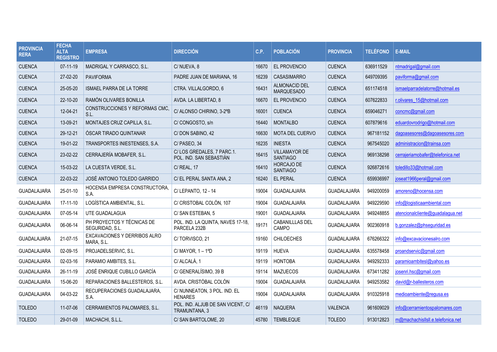| <b>PROVINCIA</b><br><b>RERA</b> | <b>FECHA</b><br><b>ALTA</b><br><b>REGISTRO</b> | <b>EMPRESA</b>                                | <b>DIRECCIÓN</b>                                     | C.P.  | <b>POBLACIÓN</b>                          | <b>PROVINCIA</b>   | <b>TELÉFONO</b> | <b>E-MAIL</b>                     |
|---------------------------------|------------------------------------------------|-----------------------------------------------|------------------------------------------------------|-------|-------------------------------------------|--------------------|-----------------|-----------------------------------|
| <b>CUENCA</b>                   | $07-11-19$                                     | MADRIGAL Y CARRASCO, S.L.                     | C/NUEVA, 8                                           | 16670 | EL PROVENCIO                              | <b>CUENCA</b>      | 636911529       | ntmadrigal@gmail.com              |
| <b>CUENCA</b>                   | 27-02-20                                       | <b>PAVIFORMA</b>                              | PADRE JUAN DE MARIANA, 16                            | 16239 | <b>CASASIMARRO</b>                        | <b>CUENCA</b>      | 649709395       | paviforma@gmail.com               |
| <b>CUENCA</b>                   | 25-05-20                                       | <b>ISMAEL PARRA DE LA TORRE</b>               | CTRA. VILLALGORDO, 6                                 | 16431 | <b>ALMONACID DEL</b><br><b>MARQUESADO</b> | <b>CUENCA</b>      | 651174518       | ismaelparradelatorre@hotmail.es   |
| <b>CUENCA</b>                   | 22-10-20                                       | RAMÓN OLIVARES BONILLA                        | AVDA. LA LIBERTAD, 8                                 | 16670 | EL PROVENCIO                              | <b>CUENCA</b>      | 607622833       | r.olivares 15@hotmail.com         |
| <b>CUENCA</b>                   | 12-04-21                                       | CONSTRUCCIONES Y REFORMAS CMC.<br>S.L.        | C/ ALONSO CHIRINO, 3-2°B                             | 16001 | <b>CUENCA</b>                             | <b>CUENCA</b>      | 659046271       | concmc@gmail.com                  |
| <b>CUENCA</b>                   | 13-09-21                                       | MONTAJES CRUZ CAPILLA, S.L.                   | C/CONGOSTO, s/n                                      | 16440 | <b>MONTALBO</b>                           | <b>CUENCA</b>      | 607879616       | eduardovrodrigo@hotmail.com       |
| <b>CUENCA</b>                   | 29-12-21                                       | ÓSCAR TIRADO QUINTANAR                        | C/DON SABINO, 42                                     | 16630 | <b>MOTA DEL CUERVO</b>                    | <b>CUENCA</b>      | 967181152       | dagoasesores@dagoasesores.com     |
| <b>CUENCA</b>                   | 19-01-22                                       | TRANSPORTES INIESTENSES, S.A.                 | C/PASEO, 34                                          | 16235 | <b>INIESTA</b>                            | <b>CUENCA</b>      | 967545020       | administracion@trainsa.com        |
| <b>CUENCA</b>                   | 23-02-22                                       | CERRAJERÍA MOBAFER, S.L.                      | C/LOS GREDALES, 7 PARC.1.<br>POL. IND. SAN SEBASTIÁN | 16415 | <b>VILLAMAYOR DE</b><br><b>SANTIAGO</b>   | <b>CUENCA</b>      | 969138298       | cerrajeriamobafer@telefonica.net  |
| <b>CUENCA</b>                   | 15-03-22                                       | LA CUESTA VERDE, S.L.                         | C/ REAL, 17                                          | 16410 | <b>HORCAJO DE</b><br><b>SANTIAGO</b>      | <b>CUENCA</b>      | 926872616       | toledillo33@hotmail.com           |
| <b>CUENCA</b>                   | 22-03-22                                       | JOSÉ ANTONIO TOLEDO GARRIDO                   | C/ EL PERAL SANTA ANA, 2                             | 16240 | EL PERAL                                  | <b>CUENCA</b>      | 659936997       | joseat1966peral@gmail.com         |
| GUADALAJARA                     | 25-01-10                                       | HOCENSA EMPRESA CONSTRUCTORA,<br>S.A.         | C/ LEPANTO, 12 - 14                                  | 19004 | <b>GUADALAJARA</b>                        | <b>GUADALAJARA</b> | 949200059       | amoreno@hocensa.com               |
| <b>GUADALAJARA</b>              | 17-11-10                                       | LOGÍSTICA AMBIENTAL, S.L.                     | C/ CRISTOBAL COLÓN, 107                              | 19004 | GUADALAJARA                               | <b>GUADALAJARA</b> | 949229590       | info@logisticaambiental.com       |
| <b>GUADALAJARA</b>              | 07-05-14                                       | UTE GUADALAGUA                                | C/SAN ESTEBAN, 5                                     | 19001 | <b>GUADALAJARA</b>                        | <b>GUADALAJARA</b> | 949248855       | atencionalcliente@guadalagua.net  |
| <b>GUADALAJARA</b>              | 06-06-14                                       | PH PROYECTOS Y TÉCNICAS DE<br>SEGURIDAD, S.L. | POL. IND. LA QUINTA, NAVES 17-18,<br>PARCELA 232B    | 19171 | <b>CABANILLLAS DEL</b><br>CAMPO           | <b>GUADALAJARA</b> | 902360918       | b.gonzalez@phseguridad.es         |
| GUADALAJARA                     | 21-07-15                                       | EXCAVACIONES Y DERRIBOS ALRO<br>MARA, S.L.    | C/TORVISCO, 21                                       | 19160 | <b>CHILOECHES</b>                         | <b>GUADALAJARA</b> | 676266322       | info@excavacionesalro.com         |
| <b>GUADALAJARA</b>              | 02-09-15                                       | PROJADELSERVIC, S.L.                          | C/MAYOR, $1 - 1^{\circ}D$                            | 19119 | <b>HUEVA</b>                              | GUADALAJARA        | 635578458       | proandservic@gmail.com            |
| <b>GUADALAJARA</b>              | 02-03-16                                       | PARAMIO AMBITES, S.L.                         | C/ ALCALÁ, 1                                         | 19119 | <b>HONTOBA</b>                            | <b>GUADALAJARA</b> | 949292333       | paramioambitesl@yahoo.es          |
| <b>GUADALAJARA</b>              | 26-11-19                                       | JOSÉ ENRIQUE CUBILLO GARCÍA                   | C/ GENERALÍSIMO, 39 B                                | 19114 | <b>MAZUECOS</b>                           | GUADALAJARA        | 673411282       | josenri.hsc@gmail.com             |
| <b>GUADALAJARA</b>              | 15-06-20                                       | REPARACIONES BALLESTEROS, S.L.                | AVDA, CRISTÓBAL COLÓN                                | 19004 | GUADALAJARA                               | <b>GUADALAJARA</b> | 949253582       | david@r-ballesteros.com           |
| <b>GUADALAJARA</b>              | 04-03-22                                       | RECUPERACIONES GUADALAJARA,<br>S.A.           | C/ NUNNEATON, 3 POL. IND. EL<br><b>HENARES</b>       | 19004 | GUADALAJARA                               | <b>GUADALAJARA</b> | 910325918       | medioambiente@regusa.es           |
| <b>TOLEDO</b>                   | 11-07-06                                       | CERRAMIENTOS PALOMARES, S.L.                  | POL. IND. ALJUB DE SAN VICENT, C/<br>TRAMUNTANA, 3   | 46119 | <b>NAQUERA</b>                            | <b>VALENCIA</b>    | 961609029       | info@cerramientospalomares.com    |
| <b>TOLEDO</b>                   | 29-01-09                                       | MACHACHI, S.L.L.                              | C/ SAN BARTOLOME, 20                                 | 45780 | <b>TEMBLEQUE</b>                          | <b>TOLEDO</b>      | 913012823       | m@machachisllsll.e.telefonica.net |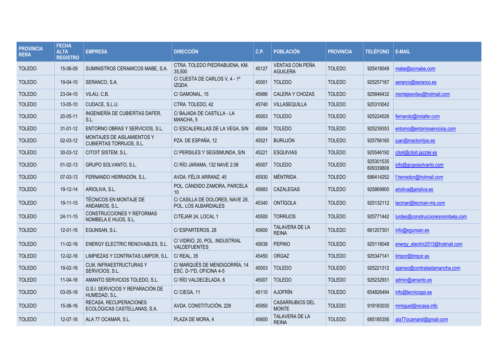| <b>PROVINCIA</b><br><b>RERA</b> | <b>FECHA</b><br><b>ALTA</b><br><b>REGISTRO</b> | <b>EMPRESA</b>                                            | <b>DIRECCIÓN</b>                                         | C.P.  | <b>POBLACIÓN</b>                   | <b>PROVINCIA</b> | <b>TELÉFONO</b>        | <b>E-MAIL</b>                    |
|---------------------------------|------------------------------------------------|-----------------------------------------------------------|----------------------------------------------------------|-------|------------------------------------|------------------|------------------------|----------------------------------|
| <b>TOLEDO</b>                   | 15-06-09                                       | SUMINISTROS CERAMICOS MABE, S.A.                          | CTRA. TOLEDO PIEDRABUENA, KM.<br>35,500                  | 45127 | VENTAS CON PEÑA<br><b>AGUILERA</b> | <b>TOLEDO</b>    | 925418049              | mabe@scmabe.com                  |
| <b>TOLEDO</b>                   | 19-04-10                                       | SERANCO, S.A.                                             | C/ CUESTA DE CARLOS V, 4 - 1°<br>IZQDA.                  | 45001 | <b>TOLEDO</b>                      | <b>TOLEDO</b>    | 925257167              | seranco@seranco.es               |
| <b>TOLEDO</b>                   | 23-04-10                                       | VILAU, C.B.                                               | C/ GAMONAL, 15                                           | 45686 | <b>CALERA Y CHOZAS</b>             | <b>TOLEDO</b>    | 925846432              | montajesvilau@hotmail.com        |
| <b>TOLEDO</b>                   | 13-05-10                                       | CUDACE, S.L.U.                                            | CTRA. TOLEDO, 42                                         | 45740 | VILLASEQUILLA                      | <b>TOLEDO</b>    | 925310042              |                                  |
| <b>TOLEDO</b>                   | 20-05-11                                       | INGENIERÍA DE CUBIERTAS DAFER,<br>S.L.                    | C/ BAJADA DE CASTILLA - LA<br>MANCHA, 5                  | 45003 | <b>TOLEDO</b>                      | <b>TOLEDO</b>    | 925224526              | fernando@indafer.com             |
| <b>TOLEDO</b>                   | 31-01-12                                       | ENTORNO OBRAS Y SERVICIOS, S.L.                           | C/ ESCALERILLAS DE LA VEGA, S/N                          | 45004 | <b>TOLEDO</b>                      | <b>TOLEDO</b>    | 925239353              | entorno@entornoservicios.com     |
| <b>TOLEDO</b>                   | 02-03-12                                       | MONTAJES DE AISLAMIENTOS Y<br>CUBIERTAS TORRIJOS, S.L.    | PZA. DE ESPAÑA, 12                                       | 45521 | <b>BURUJÓN</b>                     | <b>TOLEDO</b>    | 925756160              | juan@mactorrijos.es              |
| <b>TOLEDO</b>                   | 30-03-12                                       | CITOIT SISTEM, S.L.                                       | C/ PERSILES Y SEGISMUNDA, S/N                            | 45221 | <b>ESQUIVIAS</b>                   | <b>TOLEDO</b>    | 925546192              | citoit@citoit.jazztel.es         |
| <b>TOLEDO</b>                   | $01-02-13$                                     | GRUPO SOLVANTO, S.L.                                      | C/ RÍO JARAMA, 132 NAVE 2.08                             | 45007 | <b>TOLEDO</b>                      | <b>TOLEDO</b>    | 925301535<br>609339806 | info@gruposolvanto.com           |
| <b>TOLEDO</b>                   | 07-03-13                                       | FERNANDO HERRADÓN, S.L.                                   | AVDA. FÉLIX ARRANZ, 45                                   | 45930 | MÉNTRIDA                           | <b>TOLEDO</b>    | 686414252              | f.herradon@hotmail.com           |
| <b>TOLEDO</b>                   | 19-12-14                                       | ARIOLIVA, S.L.                                            | POL. CÁNDIDO ZAMORA, PARCELA<br>10                       | 45683 | CAZALEGAS                          | <b>TOLEDO</b>    | 925869900              | arioliva@arioliva.es             |
| <b>TOLEDO</b>                   | 19-11-15                                       | TÉCNICOS EN MONTAJE DE<br>ANDAMIOS, S.L.                  | C/ CASILLA DE DOLORES, NAVE 28,<br>POL. LOS ALBARDIALES  | 45340 | ONTÍGOLA                           | <b>TOLEDO</b>    | 925132112              | tecman@tecman-ms.com             |
| <b>TOLEDO</b>                   | 24-11-15                                       | <b>CONSTRUCCIONES Y REFORMAS</b><br>NOMBELA E HIJOS, S.L. | C/TEJAR 24, LOCAL 1                                      | 45500 | <b>TORRIJOS</b>                    | <b>TOLEDO</b>    | 925771442              | lurdes@construccionesnombela.com |
| <b>TOLEDO</b>                   | $12 - 01 - 16$                                 | EGUNSAN, S.L.                                             | C/ESPARTEROS, 28                                         | 45600 | TALAVERA DE LA<br><b>REINA</b>     | <b>TOLEDO</b>    | 661207301              | info@egunsan.es                  |
| <b>TOLEDO</b>                   | 11-02-16                                       | ENERGY ELECTRIC RENOVABLES, S.L.                          | C/VIDRIO, 20, POL. INDUSTRIAL<br><b>VALDEFUENTES</b>     | 45638 | <b>PEPINO</b>                      | <b>TOLEDO</b>    | 925118048              | energy_electric2013@hotmail.com  |
| <b>TOLEDO</b>                   | 12-02-16                                       | LIMPIEZAS Y CONTRATAS LIMPOR, S.L.                        | C/ REAL, 35                                              | 45450 | ORGAZ                              | <b>TOLEDO</b>    | 925347141              | limpor@limpor.es                 |
| <b>TOLEDO</b>                   | 19-02-16                                       | CLM, INFRAESTRUCTURAS Y<br>SERVICIOS, S.L.                | C/ MARQUÉS DE MENDIGORRÍA, 14<br>ESC. D-1ºD, OFICINA 4-5 | 45003 | <b>TOLEDO</b>                      | <b>TOLEDO</b>    | 925221312              | ajaroso@contrataslamancha.com    |
| <b>TOLEDO</b>                   | 11-04-16                                       | AMANTO SERVICIOS TOLEDO, S.L.                             | C/ RÍO VALDECELADA, 6                                    | 45007 | <b>TOLEDO</b>                      | <b>TOLEDO</b>    | 925232931              | admin@amanto.es                  |
| <b>TOLEDO</b>                   | 03-05-16                                       | G.S.I. SERVICIOS Y REPARACIÓN DE<br>HUMEDAD, S.L.         | C/ CIEGA, 11                                             | 45110 | <b>AJOFRÍN</b>                     | <b>TOLEDO</b>    | 654826494              | info@tecnicogsi.es               |
| <b>TOLEDO</b>                   | 15-06-16                                       | RECASA, RECUPERACIONES<br>ECOLÓGICAS CASTELLANAS, S.A.    | AVDA. CONSTITUCIÓN, 228                                  | 45950 | CASARRUBIOS DEL<br><b>MONTE</b>    | <b>TOLEDO</b>    | 918183030              | mmiguel@recasa.info              |
| <b>TOLEDO</b>                   | $12 - 07 - 16$                                 | ALA 77 OCAMAR, S.L.                                       | PLAZA DE MORA, 4                                         | 45600 | TALAVERA DE LA<br><b>REINA</b>     | <b>TOLEDO</b>    | 685185356              | ala77ocamarsl@gmail.com          |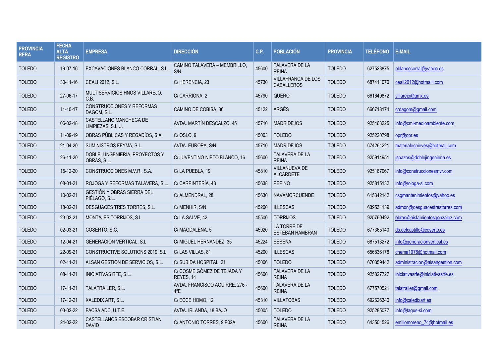| <b>PROVINCIA</b><br><b>RERA</b> | <b>FECHA</b><br><b>ALTA</b><br><b>REGISTRO</b> | <b>EMPRESA</b>                                     | <b>DIRECCIÓN</b>                        | C.P.  | <b>POBLACIÓN</b>                               | <b>PROVINCIA</b> | <b>TELÉFONO</b> | <b>E-MAIL</b>                    |
|---------------------------------|------------------------------------------------|----------------------------------------------------|-----------------------------------------|-------|------------------------------------------------|------------------|-----------------|----------------------------------|
| <b>TOLEDO</b>                   | 19-07-16                                       | EXCAVACIONES BLANCO CORRAL, S.L.                   | CAMINO TALAVERA - MEMBRILLO,<br>S/N     | 45600 | <b>TALAVERA DE LA</b><br><b>REINA</b>          | <b>TOLEDO</b>    | 627523875       | pblancocorral@yahoo.es           |
| <b>TOLEDO</b>                   | $30 - 11 - 16$                                 | CEALI 2012, S.L.                                   | C/HERENCIA, 23                          | 45730 | <b>VILLAFRANCA DE LOS</b><br><b>CABALLEROS</b> | <b>TOLEDO</b>    | 687411070       | ceali2012@hotmaill.com           |
| <b>TOLEDO</b>                   | 27-06-17                                       | MULTISERVICIOS HNOS VILLAREJO,<br>C.B.             | C/CARRIONA, 2                           | 45790 | QUERO                                          | <b>TOLEDO</b>    | 661649872       | villarejo@gmx.es                 |
| <b>TOLEDO</b>                   | $11 - 10 - 17$                                 | CONSTRUCCIONES Y REFORMAS<br>DAGOM, S.L.           | CAMINO DE COBISA, 36                    | 45122 | ARGÉS                                          | <b>TOLEDO</b>    | 666718174       | crdagom@gmail.com                |
| <b>TOLEDO</b>                   | 06-02-18                                       | CASTELLANO MANCHEGA DE<br>LIMPIEZAS, S.L.U.        | AVDA. MARTÍN DESCALZO, 45               | 45710 | <b>MADRIDEJOS</b>                              | <b>TOLEDO</b>    | 925463225       | info@cml-medioambiente.com       |
| <b>TOLEDO</b>                   | 11-09-19                                       | OBRAS PÚBLICAS Y REGADÍOS, S.A.                    | C/OSLO, 9                               | 45003 | <b>TOLEDO</b>                                  | <b>TOLEDO</b>    | 925220798       | opr@opr.es                       |
| <b>TOLEDO</b>                   | 21-04-20                                       | SUMINISTROS FEYMA, S.L.                            | AVDA. EUROPA, S/N                       | 45710 | <b>MADRIDEJOS</b>                              | <b>TOLEDO</b>    | 674261221       | materialesnieves@hotmail.com     |
| <b>TOLEDO</b>                   | 26-11-20                                       | DOBLE J INGENIERÍA, PROYECTOS Y<br>OBRAS, S.L.     | C/ JUVENTINO NIETO BLANCO. 16           | 45600 | TALAVERA DE LA<br><b>REINA</b>                 | <b>TOLEDO</b>    | 925914951       | jspazos@doblejingenieria.es      |
| <b>TOLEDO</b>                   | 15-12-20                                       | CONSTRUCCIONES M.V.R., S.A.                        | C/LA PUEBLA, 19                         | 45810 | VILLANUEVA DE<br><b>ALCARDETE</b>              | <b>TOLEDO</b>    | 925167967       | info@construccionesmvr.com       |
| <b>TOLEDO</b>                   | 08-01-21                                       | ROJOGA Y REFORMAS TALAVERA, S.L.                   | C/ CARPINTERÍA, 43                      | 45638 | <b>PEPINO</b>                                  | <b>TOLEDO</b>    | 925815132       | info@rojoga-sl.com               |
| <b>TOLEDO</b>                   | 10-02-21                                       | <b>GESTIÓN Y OBRAS SIERRA DEL</b><br>PIÉLAGO, S.L. | C/ ALMENDRAL, 28                        | 45630 | <b>NAVAMORCUENDE</b>                           | <b>TOLEDO</b>    | 615342142       | csgmantenimientos@yahoo.es       |
| <b>TOLEDO</b>                   | 18-02-21                                       | DESGUACES TRES TORRES, S.L.                        | C/MENHIR, S/N                           | 45200 | <b>ILLESCAS</b>                                | <b>TOLEDO</b>    | 639531139       | admon@desguacestrestorres.com    |
| <b>TOLEDO</b>                   | 23-02-21                                       | MONTAJES TORRIJOS, S.L.                            | C/LA SALVE, 42                          | 45500 | <b>TORRIJOS</b>                                | <b>TOLEDO</b>    | 925760492       | obras@aislamientosgonzalez.com   |
| <b>TOLEDO</b>                   | 02-03-21                                       | COSERTO, S.C.                                      | C/MAGDALENA, 5                          | 45920 | LA TORRE DE<br>ESTEBAN HAMBRÁN                 | <b>TOLEDO</b>    | 677365140       | ds.delcastillo@coserto.es        |
| <b>TOLEDO</b>                   | 12-04-21                                       | <b>GENERACIÓN VERTICAL, S.L.</b>                   | C/ MIGUEL HERNÁNDEZ, 35                 | 45224 | <b>SESEÑA</b>                                  | <b>TOLEDO</b>    | 687513272       | info@generacionvertical.es       |
| <b>TOLEDO</b>                   | 22-09-21                                       | CONSTRUCTIVE SOLUTIONS 2019, S.L.                  | C/LAS VILLAS, 81                        | 45200 | <b>ILLESCAS</b>                                | <b>TOLEDO</b>    | 656836178       | chema1978@hotmail.com            |
| <b>TOLEDO</b>                   | 02-11-21                                       | ALSAN GESTIÓN DE SERVICIOS, S.L.                   | C/ SUBIDA HOSPITAL, 21                  | 45006 | <b>TOLEDO</b>                                  | <b>TOLEDO</b>    | 670359442       | administracion@alsangestion.com  |
| <b>TOLEDO</b>                   | 08-11-21                                       | INICIATIVAS RFE, S.L.                              | C/ COSME GÓMEZ DE TEJADA Y<br>REYES, 14 | 45600 | TALAVERA DE LA<br><b>REINA</b>                 | <b>TOLEDO</b>    | 925827727       | iniciativasrfe@iniciativasrfe.es |
| <b>TOLEDO</b>                   | 17-11-21                                       | TALATRAILER, S.L.                                  | AVDA. FRANCISCO AGUIRRE, 276 -<br>4°E   | 45600 | <b>TALAVERA DE LA</b><br><b>REINA</b>          | <b>TOLEDO</b>    | 677570521       | talatrailer@gmail.com            |
| <b>TOLEDO</b>                   | 17-12-21                                       | XALEDIX ART, S.L.                                  | C/ECCE HOMO, 12                         | 45310 | <b>VILLATOBAS</b>                              | <b>TOLEDO</b>    | 692626340       | info@xaledixart.es               |
| <b>TOLEDO</b>                   | 03-02-22                                       | FACSA ADC, U.T.E.                                  | AVDA. IRLANDA. 18 BAJO                  | 45005 | <b>TOLEDO</b>                                  | <b>TOLEDO</b>    | 925285077       | info@tagus-si.com                |
| <b>TOLEDO</b>                   | 24-02-22                                       | CASTELLANOS ESCOBAR CRISTIAN<br><b>DAVID</b>       | C/ ANTONIO TORRES, 9 P02A               | 45600 | <b>TALAVERA DE LA</b><br><b>REINA</b>          | <b>TOLEDO</b>    | 643501526       | emiliomoreno 74@hotmail.es       |